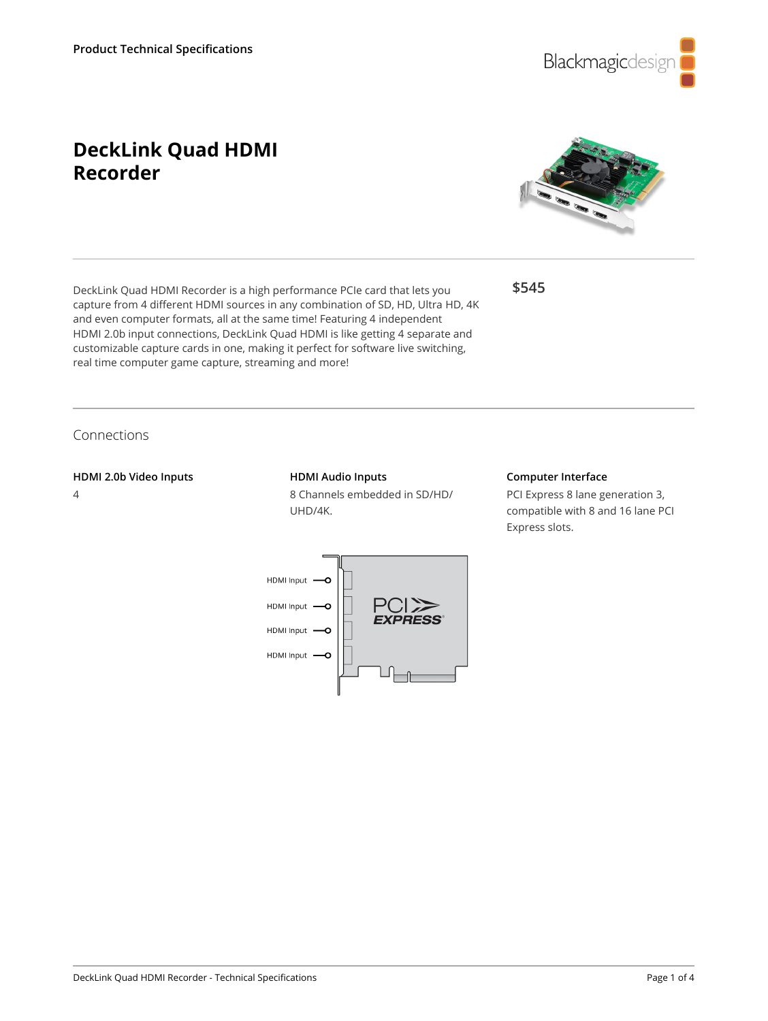

# **DeckLink Quad HDMI Recorder**



**\$545**

capture from 4 different HDMI sources in any combination of SD, HD, Ultra HD, 4K and even computer formats, all at the same time! Featuring 4 independent HDMI 2.0b input connections, DeckLink Quad HDMI is like getting 4 separate and customizable capture cards in one, making it perfect for software live switching, real time computer game capture, streaming and more!

DeckLink Quad HDMI Recorder is a high performance PCIe card that lets you

# Connections

#### **HDMI 2.0b Video Inputs**

4

### **HDMI Audio Inputs**

8 Channels embedded in SD/HD/ UHD/4K.



PCI Express 8 lane generation 3, compatible with 8 and 16 lane PCI Express slots.

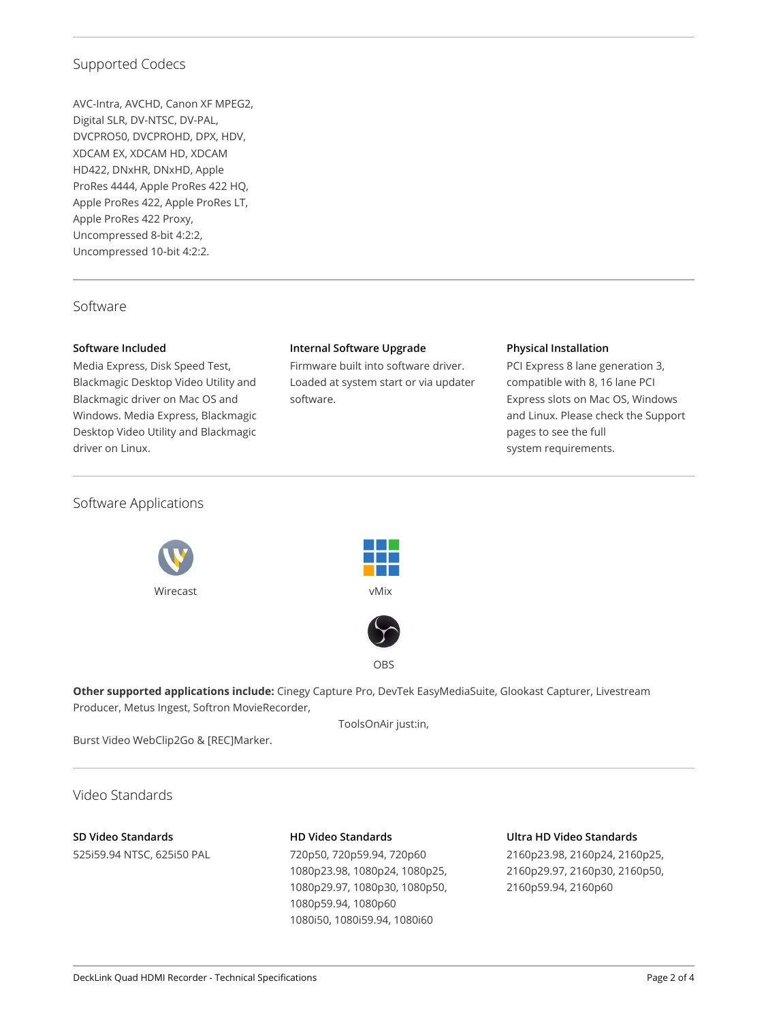# Supported Codecs

AVC-Intra, AVCHD, Canon XF MPEG2, Digital SLR, DV-NTSC, DV-PAL, DVCPRO50, DVCPROHD, DPX, HDV, XDCAM EX, XDCAM HD, XDCAM HD422, DNxHR, DNxHD, Apple ProRes 4444, Apple ProRes 422 HQ, Apple ProRes 422, Apple ProRes LT, Apple ProRes 422 Proxy, Uncompressed 8-bit 4:2:2, Uncompressed 10‑bit 4:2:2.

### Software

### **Software Included**

Media Express, Disk Speed Test, Blackmagic Desktop Video Utility and Blackmagic driver on Mac OS and Windows. Media Express, Blackmagic Desktop Video Utility and Blackmagic driver on Linux.

### **Internal Software Upgrade**

Firmware built into software driver. Loaded at system start or via updater software.

### **Physical Installation**

PCI Express 8 lane generation 3, compatible with 8, 16 lane PCI Express slots on Mac OS, Windows and Linux. Please check the Support pages to see the full system requirements.

### Software Applications







**Other supported applications include:** Cinegy Capture Pro, DevTek EasyMediaSuite, Glookast Capturer, Livestream Producer, Metus Ingest, Softron MovieRecorder,

ToolsOnAir just:in,

Burst Video WebClip2Go & [REC]Marker.

Video Standards

### **SD Video Standards** 525i59.94 NTSC, 625i50 PAL

### **HD Video Standards**

720p50, 720p59.94, 720p60 1080p23.98, 1080p24, 1080p25, 1080p29.97, 1080p30, 1080p50, 1080p59.94, 1080p60 1080i50, 1080i59.94, 1080i60

#### **Ultra HD Video Standards**

2160p23.98, 2160p24, 2160p25, 2160p29.97, 2160p30, 2160p50, 2160p59.94, 2160p60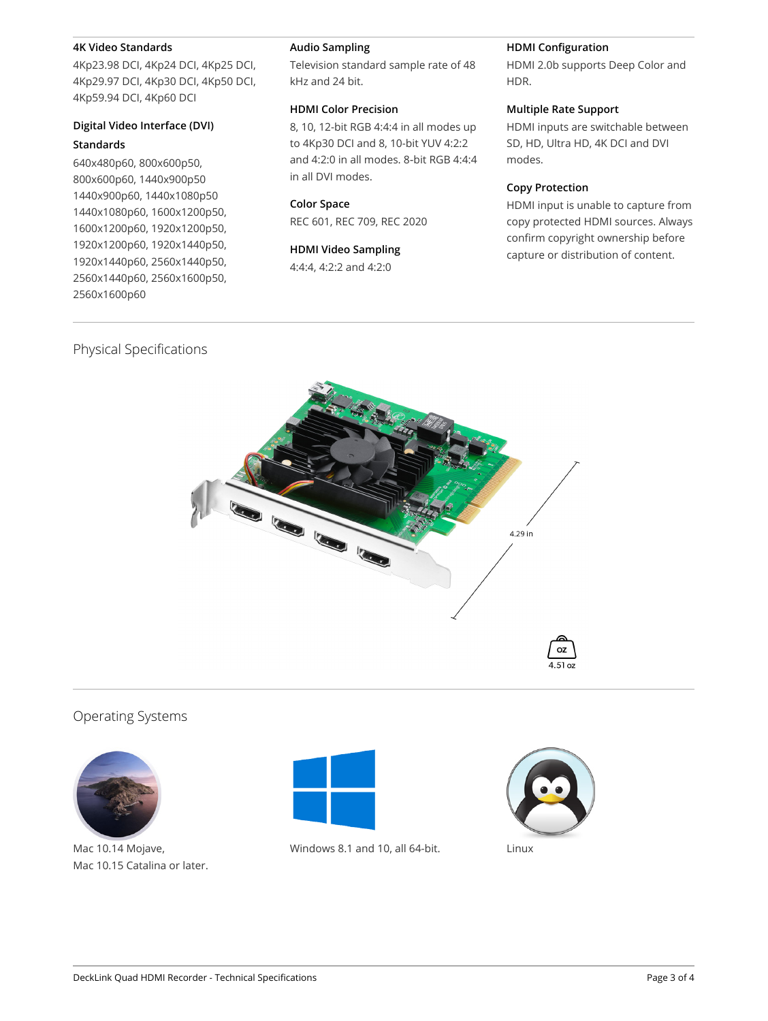#### **4K Video Standards**

4Kp23.98 DCI, 4Kp24 DCI, 4Kp25 DCI, 4Kp29.97 DCI, 4Kp30 DCI, 4Kp50 DCI, 4Kp59.94 DCI, 4Kp60 DCI

### **Digital Video Interface (DVI) Standards**

# 640x480p60, 800x600p50, 800x600p60, 1440x900p50 1440x900p60, 1440x1080p50 1440x1080p60, 1600x1200p50, 1600x1200p60, 1920x1200p50, 1920x1200p60, 1920x1440p50, 1920x1440p60, 2560x1440p50, 2560x1440p60, 2560x1600p50, 2560x1600p60

#### **Audio Sampling**

Television standard sample rate of 48 kHz and 24 bit.

### **HDMI Color Precision**

8, 10, 12-bit RGB 4:4:4 in all modes up to 4Kp30 DCI and 8, 10-bit YUV 4:2:2 and 4:2:0 in all modes. 8‑bit RGB 4:4:4 in all DVI modes.

#### **Color Space**

REC 601, REC 709, REC 2020

### **HDMI Video Sampling**

4:4:4, 4:2:2 and 4:2:0

### **HDMI Configuration**

HDMI 2.0b supports Deep Color and HDR.

### **Multiple Rate Support**

HDMI inputs are switchable between SD, HD, Ultra HD, 4K DCI and DVI modes.

### **Copy Protection**

HDMI input is unable to capture from copy protected HDMI sources. Always confirm copyright ownership before capture or distribution of content.

# Physical Specifications



# Operating Systems



Mac 10.14 Mojave, Mac 10.15 Catalina or later.



Windows 8.1 and 10, all 64-bit. Linux